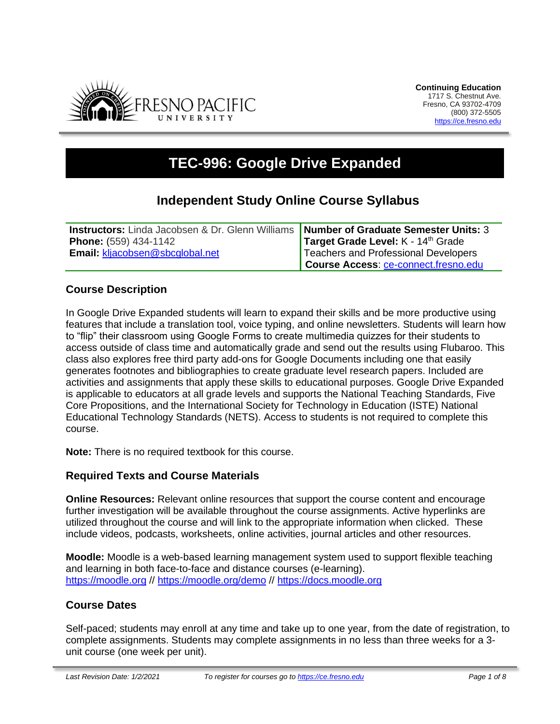

# **TEC-996: Google Drive Expanded**

## **Independent Study Online Course Syllabus**

| <b>Instructors:</b> Linda Jacobsen & Dr. Glenn Williams <b>Number of Graduate Semester Units: 3</b> |                                             |
|-----------------------------------------------------------------------------------------------------|---------------------------------------------|
| <b>Phone:</b> (559) 434-1142                                                                        | Target Grade Level: K - 14th Grade          |
| Email: kljacobsen@sbcglobal.net                                                                     | Teachers and Professional Developers        |
|                                                                                                     | <b>Course Access: ce-connect.fresno.edu</b> |

### **Course Description**

In Google Drive Expanded students will learn to expand their skills and be more productive using features that include a translation tool, voice typing, and online newsletters. Students will learn how to "flip" their classroom using Google Forms to create multimedia quizzes for their students to access outside of class time and automatically grade and send out the results using Flubaroo. This class also explores free third party add-ons for Google Documents including one that easily generates footnotes and bibliographies to create graduate level research papers. Included are activities and assignments that apply these skills to educational purposes. Google Drive Expanded is applicable to educators at all grade levels and supports the National Teaching Standards, Five Core Propositions, and the International Society for Technology in Education (ISTE) National Educational Technology Standards (NETS). Access to students is not required to complete this course.

**Note:** There is no required textbook for this course.

#### **Required Texts and Course Materials**

**Online Resources:** Relevant online resources that support the course content and encourage further investigation will be available throughout the course assignments. Active hyperlinks are utilized throughout the course and will link to the appropriate information when clicked. These include videos, podcasts, worksheets, online activities, journal articles and other resources.

**Moodle:** Moodle is a web-based learning management system used to support flexible teaching and learning in both face-to-face and distance courses (e-learning). [https://moodle.org](https://moodle.org/) // <https://moodle.org/demo> // [https://docs.moodle.org](https://docs.moodle.org/)

#### **Course Dates**

Self-paced; students may enroll at any time and take up to one year, from the date of registration, to complete assignments. Students may complete assignments in no less than three weeks for a 3 unit course (one week per unit).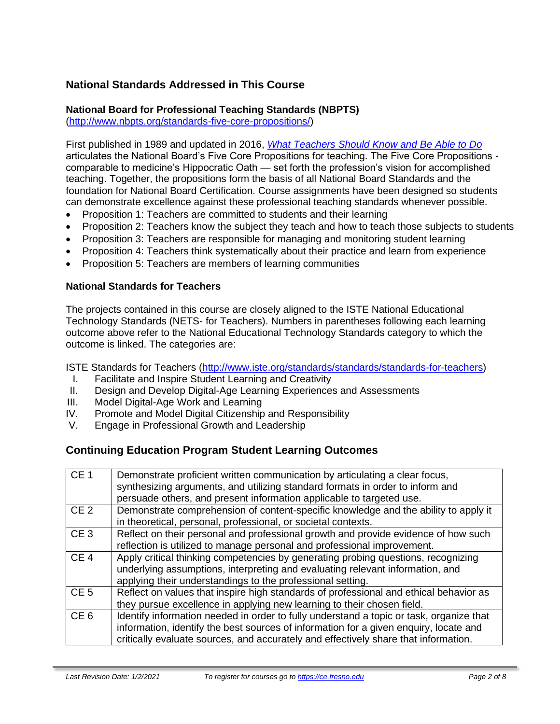## **National Standards Addressed in This Course**

### **National Board for Professional Teaching Standards (NBPTS)**

[\(http://www.nbpts.org/standards-five-core-propositions/\)](http://www.nbpts.org/standards-five-core-propositions/)

First published in 1989 and updated in 2016, *[What Teachers Should Know and Be Able to Do](http://www.accomplishedteacher.org/)* articulates the National Board's Five Core Propositions for teaching. The Five Core Propositions comparable to medicine's Hippocratic Oath — set forth the profession's vision for accomplished teaching. Together, the propositions form the basis of all National Board Standards and the foundation for National Board Certification. Course assignments have been designed so students can demonstrate excellence against these professional teaching standards whenever possible.

- Proposition 1: Teachers are committed to students and their learning
- Proposition 2: Teachers know the subject they teach and how to teach those subjects to students
- Proposition 3: Teachers are responsible for managing and monitoring student learning
- Proposition 4: Teachers think systematically about their practice and learn from experience
- Proposition 5: Teachers are members of learning communities

#### **National Standards for Teachers**

The projects contained in this course are closely aligned to the ISTE National Educational Technology Standards (NETS- for Teachers). Numbers in parentheses following each learning outcome above refer to the National Educational Technology Standards category to which the outcome is linked. The categories are:

ISTE Standards for Teachers [\(http://www.iste.org/standards/standards/standards-for-teachers\)](http://www.iste.org/standards/standards/standards-for-teachers)

- I. Facilitate and Inspire Student Learning and Creativity
- II. Design and Develop Digital-Age Learning Experiences and Assessments
- III. Model Digital-Age Work and Learning
- IV. Promote and Model Digital Citizenship and Responsibility
- V. Engage in Professional Growth and Leadership

#### **Continuing Education Program Student Learning Outcomes**

| CE <sub>1</sub> | Demonstrate proficient written communication by articulating a clear focus,<br>synthesizing arguments, and utilizing standard formats in order to inform and<br>persuade others, and present information applicable to targeted use.                                    |
|-----------------|-------------------------------------------------------------------------------------------------------------------------------------------------------------------------------------------------------------------------------------------------------------------------|
| CE <sub>2</sub> | Demonstrate comprehension of content-specific knowledge and the ability to apply it<br>in theoretical, personal, professional, or societal contexts.                                                                                                                    |
| CE <sub>3</sub> | Reflect on their personal and professional growth and provide evidence of how such<br>reflection is utilized to manage personal and professional improvement.                                                                                                           |
| CE <sub>4</sub> | Apply critical thinking competencies by generating probing questions, recognizing<br>underlying assumptions, interpreting and evaluating relevant information, and<br>applying their understandings to the professional setting.                                        |
| CE <sub>5</sub> | Reflect on values that inspire high standards of professional and ethical behavior as<br>they pursue excellence in applying new learning to their chosen field.                                                                                                         |
| CE <sub>6</sub> | Identify information needed in order to fully understand a topic or task, organize that<br>information, identify the best sources of information for a given enquiry, locate and<br>critically evaluate sources, and accurately and effectively share that information. |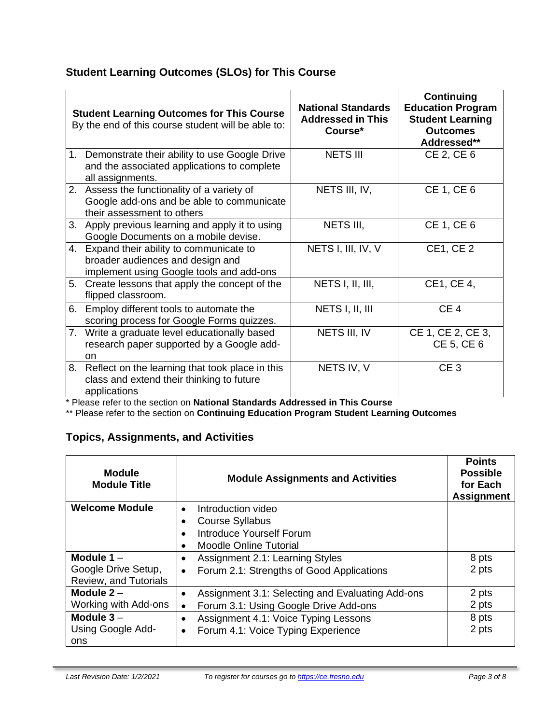## **Student Learning Outcomes (SLOs) for This Course**

|    | <b>Student Learning Outcomes for This Course</b><br>By the end of this course student will be able to:                    | <b>National Standards</b><br><b>Addressed in This</b><br>Course* | <b>Continuing</b><br><b>Education Program</b><br><b>Student Learning</b><br><b>Outcomes</b><br>Addressed** |
|----|---------------------------------------------------------------------------------------------------------------------------|------------------------------------------------------------------|------------------------------------------------------------------------------------------------------------|
| 1. | Demonstrate their ability to use Google Drive<br>and the associated applications to complete<br>all assignments.          | <b>NETS III</b>                                                  | CE 2, CE 6                                                                                                 |
|    | 2. Assess the functionality of a variety of<br>Google add-ons and be able to communicate<br>their assessment to others    | NETS III, IV,                                                    | <b>CE 1, CE 6</b>                                                                                          |
| 3. | Apply previous learning and apply it to using<br>Google Documents on a mobile devise.                                     | NETS III,                                                        | <b>CE 1, CE 6</b>                                                                                          |
|    | 4. Expand their ability to communicate to<br>broader audiences and design and<br>implement using Google tools and add-ons | NETS I, III, IV, V                                               | <b>CE1, CE2</b>                                                                                            |
| 5. | Create lessons that apply the concept of the<br>flipped classroom.                                                        | NETS I, II, III,                                                 | CE1, CE 4,                                                                                                 |
| 6. | Employ different tools to automate the<br>scoring process for Google Forms quizzes.                                       | NETS I, II, III                                                  | CE <sub>4</sub>                                                                                            |
|    | 7. Write a graduate level educationally based<br>research paper supported by a Google add-<br><sub>on</sub>               | NETS III, IV                                                     | CE 1, CE 2, CE 3,<br>CE 5, CE 6                                                                            |
| 8. | Reflect on the learning that took place in this<br>class and extend their thinking to future<br>applications              | NETS IV, V                                                       | CE <sub>3</sub>                                                                                            |

\* Please refer to the section on **National Standards Addressed in This Course**

\*\* Please refer to the section on **Continuing Education Program Student Learning Outcomes**

## **Topics, Assignments, and Activities**

| <b>Module</b><br><b>Module Title</b> | <b>Module Assignments and Activities</b>                      | <b>Points</b><br><b>Possible</b><br>for Each<br><b>Assignment</b> |
|--------------------------------------|---------------------------------------------------------------|-------------------------------------------------------------------|
| <b>Welcome Module</b>                | Introduction video<br>$\bullet$                               |                                                                   |
|                                      | <b>Course Syllabus</b><br>$\bullet$                           |                                                                   |
|                                      | Introduce Yourself Forum<br>$\bullet$                         |                                                                   |
|                                      | <b>Moodle Online Tutorial</b><br>$\bullet$                    |                                                                   |
| Module $1 -$                         | Assignment 2.1: Learning Styles<br>$\bullet$                  | 8 pts                                                             |
| Google Drive Setup,                  | Forum 2.1: Strengths of Good Applications<br>$\bullet$        | 2 pts                                                             |
| Review, and Tutorials                |                                                               |                                                                   |
| Module $2 -$                         | Assignment 3.1: Selecting and Evaluating Add-ons<br>$\bullet$ | 2 pts                                                             |
| Working with Add-ons                 | Forum 3.1: Using Google Drive Add-ons<br>$\bullet$            | 2 pts                                                             |
| Module $3 -$                         | Assignment 4.1: Voice Typing Lessons<br>$\bullet$             | 8 pts                                                             |
| Using Google Add-                    | Forum 4.1: Voice Typing Experience<br>$\bullet$               | 2 pts                                                             |
| ons                                  |                                                               |                                                                   |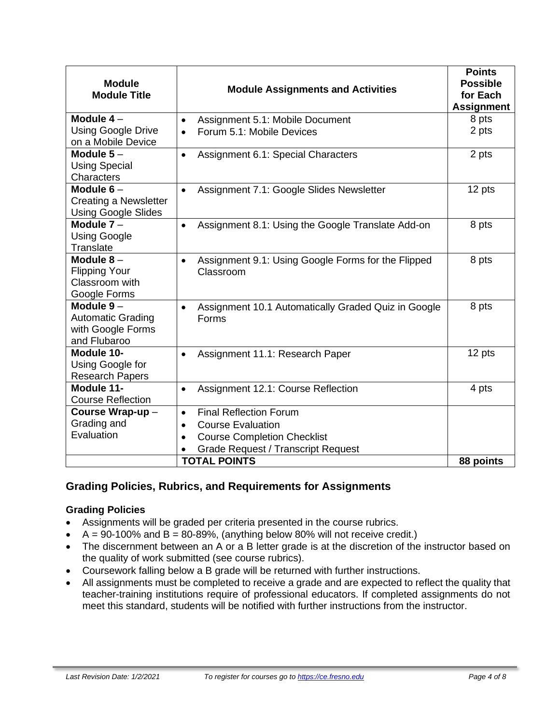| <b>Module</b><br><b>Module Title</b>                                         | <b>Module Assignments and Activities</b>                                     | <b>Points</b><br><b>Possible</b><br>for Each<br><b>Assignment</b> |
|------------------------------------------------------------------------------|------------------------------------------------------------------------------|-------------------------------------------------------------------|
| Module $4-$                                                                  | Assignment 5.1: Mobile Document<br>$\bullet$                                 | 8 pts                                                             |
| <b>Using Google Drive</b><br>on a Mobile Device                              | Forum 5.1: Mobile Devices<br>$\bullet$                                       | 2 pts                                                             |
| Module $5-$<br><b>Using Special</b><br>Characters                            | Assignment 6.1: Special Characters<br>$\bullet$                              | 2 pts                                                             |
| Module $6-$<br><b>Creating a Newsletter</b><br><b>Using Google Slides</b>    | Assignment 7.1: Google Slides Newsletter<br>$\bullet$                        | 12 pts                                                            |
| Module $7 -$<br><b>Using Google</b><br>Translate                             | Assignment 8.1: Using the Google Translate Add-on<br>$\bullet$               | 8 pts                                                             |
| Module $8-$<br><b>Flipping Your</b><br>Classroom with<br>Google Forms        | Assignment 9.1: Using Google Forms for the Flipped<br>$\bullet$<br>Classroom | 8 pts                                                             |
| Module $9-$<br><b>Automatic Grading</b><br>with Google Forms<br>and Flubaroo | Assignment 10.1 Automatically Graded Quiz in Google<br>$\bullet$<br>Forms    | 8 pts                                                             |
| Module 10-<br>Using Google for<br><b>Research Papers</b>                     | Assignment 11.1: Research Paper<br>$\bullet$                                 |                                                                   |
| Module 11-<br><b>Course Reflection</b>                                       | Assignment 12.1: Course Reflection<br>$\bullet$                              |                                                                   |
| Course Wrap-up-                                                              | <b>Final Reflection Forum</b><br>$\bullet$                                   |                                                                   |
| Grading and                                                                  | <b>Course Evaluation</b><br>$\bullet$                                        |                                                                   |
| Evaluation                                                                   | <b>Course Completion Checklist</b><br>$\bullet$                              |                                                                   |
|                                                                              | <b>Grade Request / Transcript Request</b>                                    |                                                                   |
|                                                                              | <b>TOTAL POINTS</b>                                                          | 88 points                                                         |

## **Grading Policies, Rubrics, and Requirements for Assignments**

#### **Grading Policies**

- Assignments will be graded per criteria presented in the course rubrics.
- $A = 90-100\%$  and  $B = 80-89\%$ , (anything below 80% will not receive credit.)
- The discernment between an A or a B letter grade is at the discretion of the instructor based on the quality of work submitted (see course rubrics).
- Coursework falling below a B grade will be returned with further instructions.
- All assignments must be completed to receive a grade and are expected to reflect the quality that teacher-training institutions require of professional educators. If completed assignments do not meet this standard, students will be notified with further instructions from the instructor.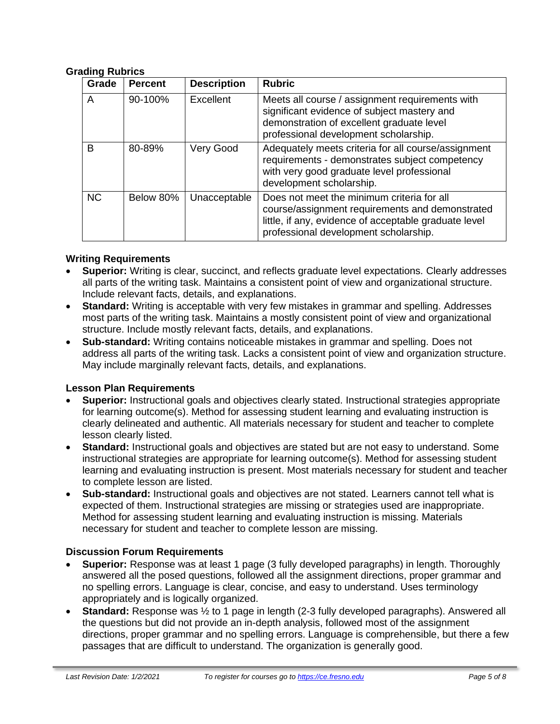#### **Grading Rubrics**

| Grade     | <b>Percent</b> | <b>Description</b> | <b>Rubric</b>                                                                                                                                                                                   |
|-----------|----------------|--------------------|-------------------------------------------------------------------------------------------------------------------------------------------------------------------------------------------------|
| A         | 90-100%        | Excellent          | Meets all course / assignment requirements with<br>significant evidence of subject mastery and<br>demonstration of excellent graduate level<br>professional development scholarship.            |
| B         | 80-89%         | Very Good          | Adequately meets criteria for all course/assignment<br>requirements - demonstrates subject competency<br>with very good graduate level professional<br>development scholarship.                 |
| <b>NC</b> | Below 80%      | Unacceptable       | Does not meet the minimum criteria for all<br>course/assignment requirements and demonstrated<br>little, if any, evidence of acceptable graduate level<br>professional development scholarship. |

#### **Writing Requirements**

- **Superior:** Writing is clear, succinct, and reflects graduate level expectations. Clearly addresses all parts of the writing task. Maintains a consistent point of view and organizational structure. Include relevant facts, details, and explanations.
- **Standard:** Writing is acceptable with very few mistakes in grammar and spelling. Addresses most parts of the writing task. Maintains a mostly consistent point of view and organizational structure. Include mostly relevant facts, details, and explanations.
- **Sub-standard:** Writing contains noticeable mistakes in grammar and spelling. Does not address all parts of the writing task. Lacks a consistent point of view and organization structure. May include marginally relevant facts, details, and explanations.

#### **Lesson Plan Requirements**

- **Superior:** Instructional goals and objectives clearly stated. Instructional strategies appropriate for learning outcome(s). Method for assessing student learning and evaluating instruction is clearly delineated and authentic. All materials necessary for student and teacher to complete lesson clearly listed.
- **Standard:** Instructional goals and objectives are stated but are not easy to understand. Some instructional strategies are appropriate for learning outcome(s). Method for assessing student learning and evaluating instruction is present. Most materials necessary for student and teacher to complete lesson are listed.
- **Sub-standard:** Instructional goals and objectives are not stated. Learners cannot tell what is expected of them. Instructional strategies are missing or strategies used are inappropriate. Method for assessing student learning and evaluating instruction is missing. Materials necessary for student and teacher to complete lesson are missing.

#### **Discussion Forum Requirements**

- **Superior:** Response was at least 1 page (3 fully developed paragraphs) in length. Thoroughly answered all the posed questions, followed all the assignment directions, proper grammar and no spelling errors. Language is clear, concise, and easy to understand. Uses terminology appropriately and is logically organized.
- **Standard:** Response was ½ to 1 page in length (2-3 fully developed paragraphs). Answered all the questions but did not provide an in-depth analysis, followed most of the assignment directions, proper grammar and no spelling errors. Language is comprehensible, but there a few passages that are difficult to understand. The organization is generally good.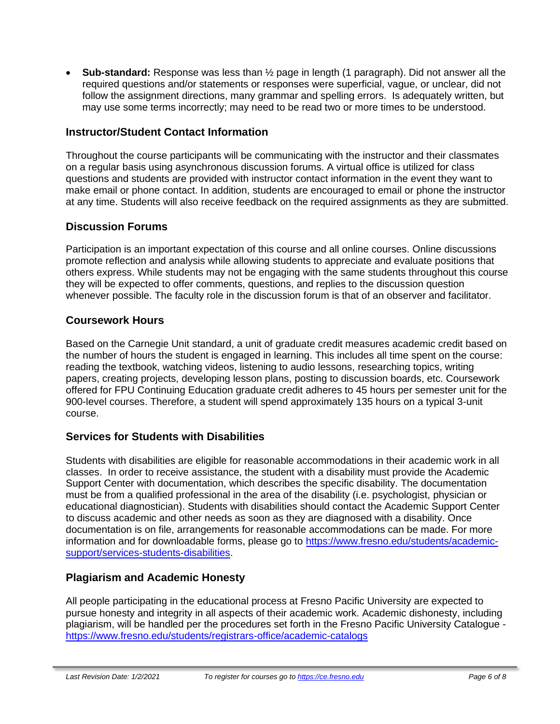• **Sub-standard:** Response was less than ½ page in length (1 paragraph). Did not answer all the required questions and/or statements or responses were superficial, vague, or unclear, did not follow the assignment directions, many grammar and spelling errors. Is adequately written, but may use some terms incorrectly; may need to be read two or more times to be understood.

### **Instructor/Student Contact Information**

Throughout the course participants will be communicating with the instructor and their classmates on a regular basis using asynchronous discussion forums. A virtual office is utilized for class questions and students are provided with instructor contact information in the event they want to make email or phone contact. In addition, students are encouraged to email or phone the instructor at any time. Students will also receive feedback on the required assignments as they are submitted.

#### **Discussion Forums**

Participation is an important expectation of this course and all online courses. Online discussions promote reflection and analysis while allowing students to appreciate and evaluate positions that others express. While students may not be engaging with the same students throughout this course they will be expected to offer comments, questions, and replies to the discussion question whenever possible. The faculty role in the discussion forum is that of an observer and facilitator.

#### **Coursework Hours**

Based on the Carnegie Unit standard, a unit of graduate credit measures academic credit based on the number of hours the student is engaged in learning. This includes all time spent on the course: reading the textbook, watching videos, listening to audio lessons, researching topics, writing papers, creating projects, developing lesson plans, posting to discussion boards, etc. Coursework offered for FPU Continuing Education graduate credit adheres to 45 hours per semester unit for the 900-level courses. Therefore, a student will spend approximately 135 hours on a typical 3-unit course.

#### **Services for Students with Disabilities**

Students with disabilities are eligible for reasonable accommodations in their academic work in all classes. In order to receive assistance, the student with a disability must provide the Academic Support Center with documentation, which describes the specific disability. The documentation must be from a qualified professional in the area of the disability (i.e. psychologist, physician or educational diagnostician). Students with disabilities should contact the Academic Support Center to discuss academic and other needs as soon as they are diagnosed with a disability. Once documentation is on file, arrangements for reasonable accommodations can be made. For more information and for downloadable forms, please go to [https://www.fresno.edu/students/academic](https://www.fresno.edu/students/academic-support/services-students-disabilities)[support/services-students-disabilities.](https://www.fresno.edu/students/academic-support/services-students-disabilities)

#### **Plagiarism and Academic Honesty**

All people participating in the educational process at Fresno Pacific University are expected to pursue honesty and integrity in all aspects of their academic work. Academic dishonesty, including plagiarism, will be handled per the procedures set forth in the Fresno Pacific University Catalogue <https://www.fresno.edu/students/registrars-office/academic-catalogs>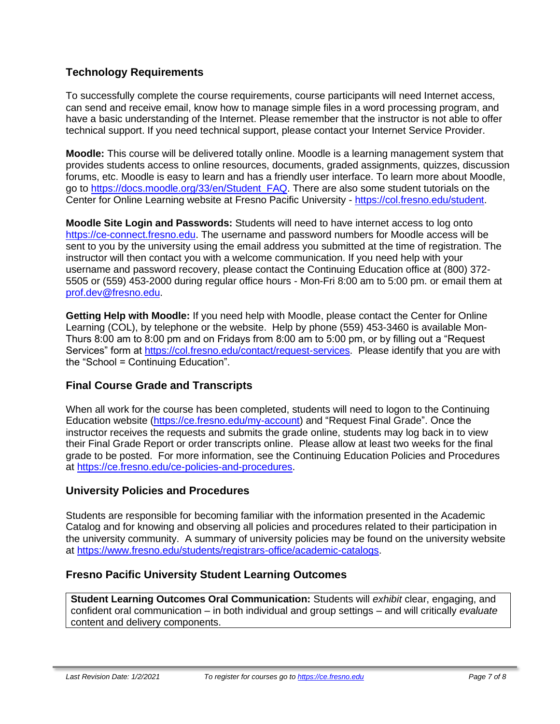## **Technology Requirements**

To successfully complete the course requirements, course participants will need Internet access, can send and receive email, know how to manage simple files in a word processing program, and have a basic understanding of the Internet. Please remember that the instructor is not able to offer technical support. If you need technical support, please contact your Internet Service Provider.

**Moodle:** This course will be delivered totally online. Moodle is a learning management system that provides students access to online resources, documents, graded assignments, quizzes, discussion forums, etc. Moodle is easy to learn and has a friendly user interface. To learn more about Moodle, go to [https://docs.moodle.org/33/en/Student\\_FAQ.](https://docs.moodle.org/33/en/Student_FAQ) There are also some student tutorials on the Center for Online Learning website at Fresno Pacific University - [https://col.fresno.edu/student.](https://col.fresno.edu/student)

**Moodle Site Login and Passwords:** Students will need to have internet access to log onto [https://ce-connect.fresno.edu.](https://ce-connect.fresno.edu/) The username and password numbers for Moodle access will be sent to you by the university using the email address you submitted at the time of registration. The instructor will then contact you with a welcome communication. If you need help with your username and password recovery, please contact the Continuing Education office at (800) 372- 5505 or (559) 453-2000 during regular office hours - Mon-Fri 8:00 am to 5:00 pm. or email them at [prof.dev@fresno.edu.](mailto:prof.dev@fresno.edu)

**Getting Help with Moodle:** If you need help with Moodle, please contact the Center for Online Learning (COL), by telephone or the website. Help by phone (559) 453-3460 is available Mon-Thurs 8:00 am to 8:00 pm and on Fridays from 8:00 am to 5:00 pm, or by filling out a "Request Services" form at [https://col.fresno.edu/contact/request-services.](https://col.fresno.edu/contact/request-services) Please identify that you are with the "School = Continuing Education".

#### **Final Course Grade and Transcripts**

When all work for the course has been completed, students will need to logon to the Continuing Education website [\(https://ce.fresno.edu/my-account\)](https://ce.fresno.edu/my-account) and "Request Final Grade". Once the instructor receives the requests and submits the grade online, students may log back in to view their Final Grade Report or order transcripts online. Please allow at least two weeks for the final grade to be posted. For more information, see the Continuing Education Policies and Procedures at [https://ce.fresno.edu/ce-policies-and-procedures.](https://ce.fresno.edu/ce-policies-and-procedures)

#### **University Policies and Procedures**

Students are responsible for becoming familiar with the information presented in the Academic Catalog and for knowing and observing all policies and procedures related to their participation in the university community. A summary of university policies may be found on the university website at [https://www.fresno.edu/students/registrars-office/academic-catalogs.](https://www.fresno.edu/students/registrars-office/academic-catalogs)

#### **Fresno Pacific University Student Learning Outcomes**

**Student Learning Outcomes Oral Communication:** Students will *exhibit* clear, engaging, and confident oral communication – in both individual and group settings – and will critically *evaluate*  content and delivery components.